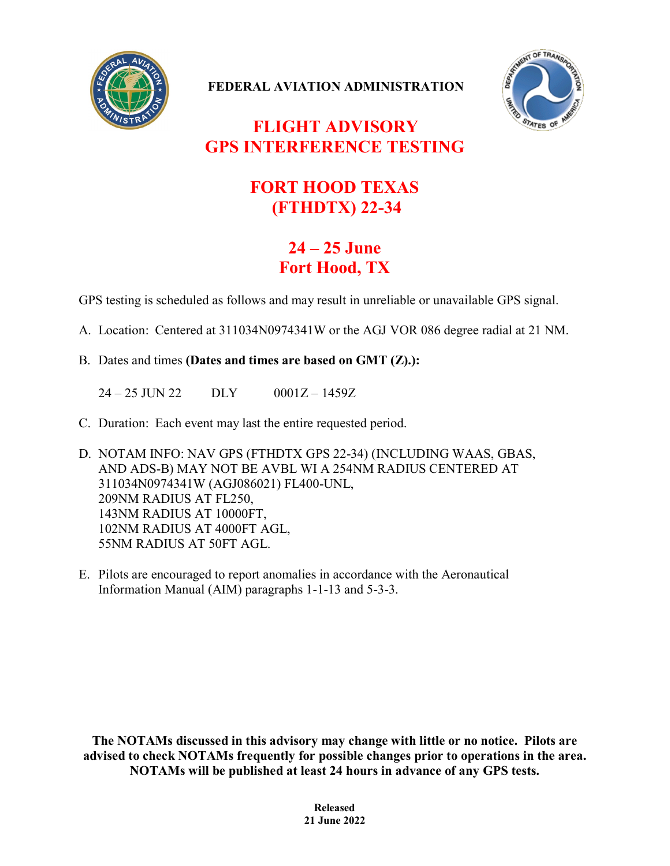

**FEDERAL AVIATION ADMINISTRATION**



## **FLIGHT ADVISORY GPS INTERFERENCE TESTING**

## **FORT HOOD TEXAS (FTHDTX) 22-34**

## **24 – 25 June Fort Hood, TX**

GPS testing is scheduled as follows and may result in unreliable or unavailable GPS signal.

- A. Location: Centered at 311034N0974341W or the AGJ VOR 086 degree radial at 21 NM.
- B. Dates and times **(Dates and times are based on GMT (Z).):**

24 – 25 JUN 22 DLY 0001Z – 1459Z

- C. Duration: Each event may last the entire requested period.
- D. NOTAM INFO: NAV GPS (FTHDTX GPS 22-34) (INCLUDING WAAS, GBAS, AND ADS-B) MAY NOT BE AVBL WI A 254NM RADIUS CENTERED AT 311034N0974341W (AGJ086021) FL400-UNL, 209NM RADIUS AT FL250, 143NM RADIUS AT 10000FT, 102NM RADIUS AT 4000FT AGL, 55NM RADIUS AT 50FT AGL.
- E. Pilots are encouraged to report anomalies in accordance with the Aeronautical Information Manual (AIM) paragraphs 1-1-13 and 5-3-3.

**The NOTAMs discussed in this advisory may change with little or no notice. Pilots are advised to check NOTAMs frequently for possible changes prior to operations in the area. NOTAMs will be published at least 24 hours in advance of any GPS tests.**